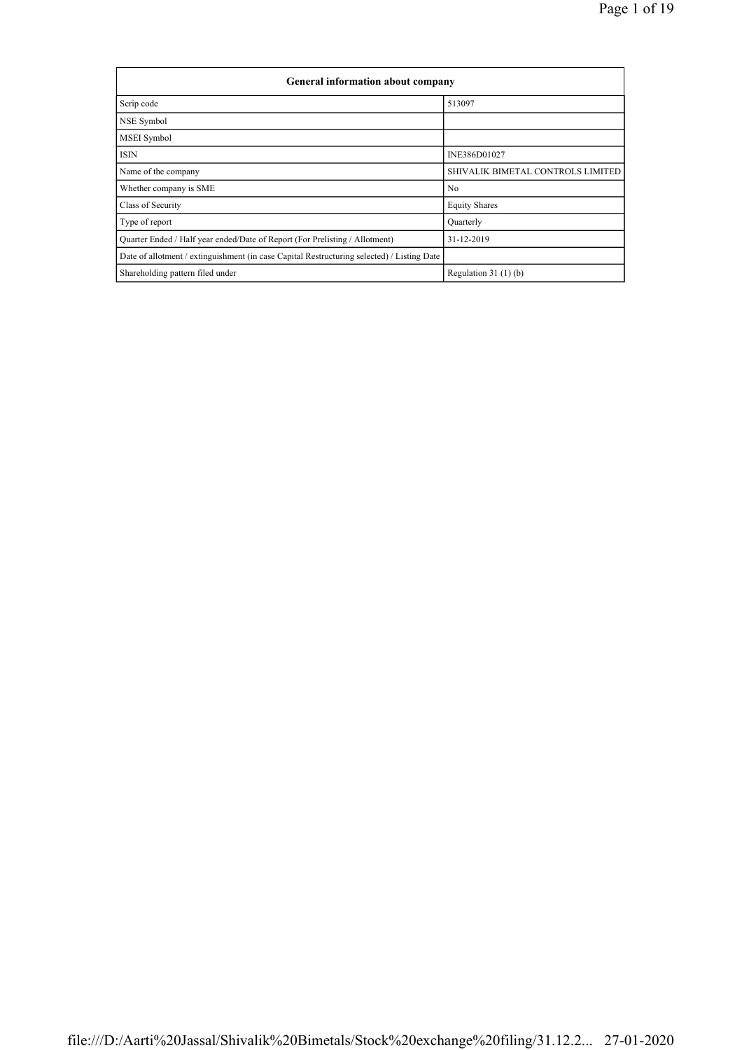| <b>General information about company</b>                                                   |                                   |  |  |  |  |  |
|--------------------------------------------------------------------------------------------|-----------------------------------|--|--|--|--|--|
| Scrip code                                                                                 | 513097                            |  |  |  |  |  |
| NSE Symbol                                                                                 |                                   |  |  |  |  |  |
| <b>MSEI</b> Symbol                                                                         |                                   |  |  |  |  |  |
| <b>ISIN</b>                                                                                | INE386D01027                      |  |  |  |  |  |
| Name of the company                                                                        | SHIVALIK BIMETAL CONTROLS LIMITED |  |  |  |  |  |
| Whether company is SME                                                                     | N <sub>0</sub>                    |  |  |  |  |  |
| Class of Security                                                                          | <b>Equity Shares</b>              |  |  |  |  |  |
| Type of report                                                                             | Quarterly                         |  |  |  |  |  |
| Quarter Ended / Half year ended/Date of Report (For Prelisting / Allotment)                | 31-12-2019                        |  |  |  |  |  |
| Date of allotment / extinguishment (in case Capital Restructuring selected) / Listing Date |                                   |  |  |  |  |  |
| Shareholding pattern filed under                                                           | Regulation $31(1)(b)$             |  |  |  |  |  |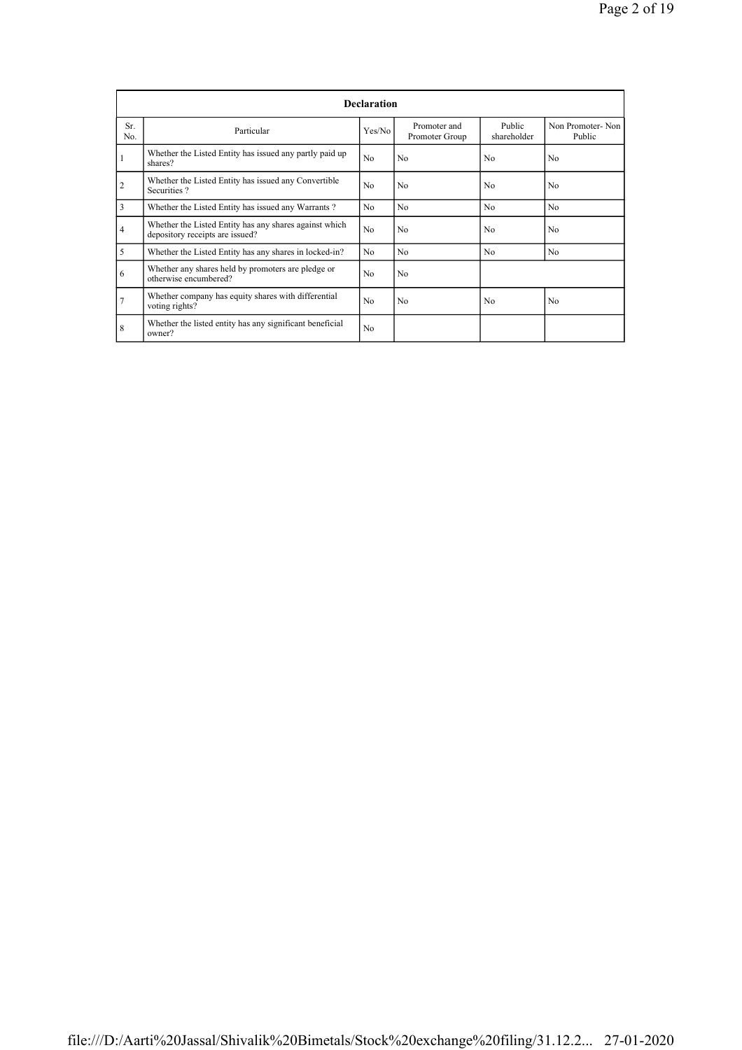|                |                                                                                           | <b>Declaration</b> |                                |                       |                            |
|----------------|-------------------------------------------------------------------------------------------|--------------------|--------------------------------|-----------------------|----------------------------|
| Sr.<br>No.     | Particular                                                                                | Yes/No             | Promoter and<br>Promoter Group | Public<br>shareholder | Non Promoter-Non<br>Public |
|                | Whether the Listed Entity has issued any partly paid up<br>shares?                        | N <sub>0</sub>     | N <sub>0</sub>                 | No                    | No                         |
| $\overline{2}$ | Whether the Listed Entity has issued any Convertible<br>Securities?                       | No                 | N <sub>0</sub>                 | No                    | N <sub>0</sub>             |
| 3              | Whether the Listed Entity has issued any Warrants?                                        | N <sub>0</sub>     | N <sub>0</sub>                 | N <sub>0</sub>        | N <sub>0</sub>             |
| $\overline{4}$ | Whether the Listed Entity has any shares against which<br>depository receipts are issued? | No                 | N <sub>0</sub>                 | N <sub>0</sub>        | No                         |
| 5              | Whether the Listed Entity has any shares in locked-in?                                    | N <sub>0</sub>     | N <sub>0</sub>                 | No                    | N <sub>0</sub>             |
| 6              | Whether any shares held by promoters are pledge or<br>otherwise encumbered?               | No                 | N <sub>0</sub>                 |                       |                            |
| $\overline{7}$ | Whether company has equity shares with differential<br>voting rights?                     | No.                | N <sub>0</sub>                 | No                    | N <sub>0</sub>             |
| 8              | Whether the listed entity has any significant beneficial<br>owner?                        | No                 |                                |                       |                            |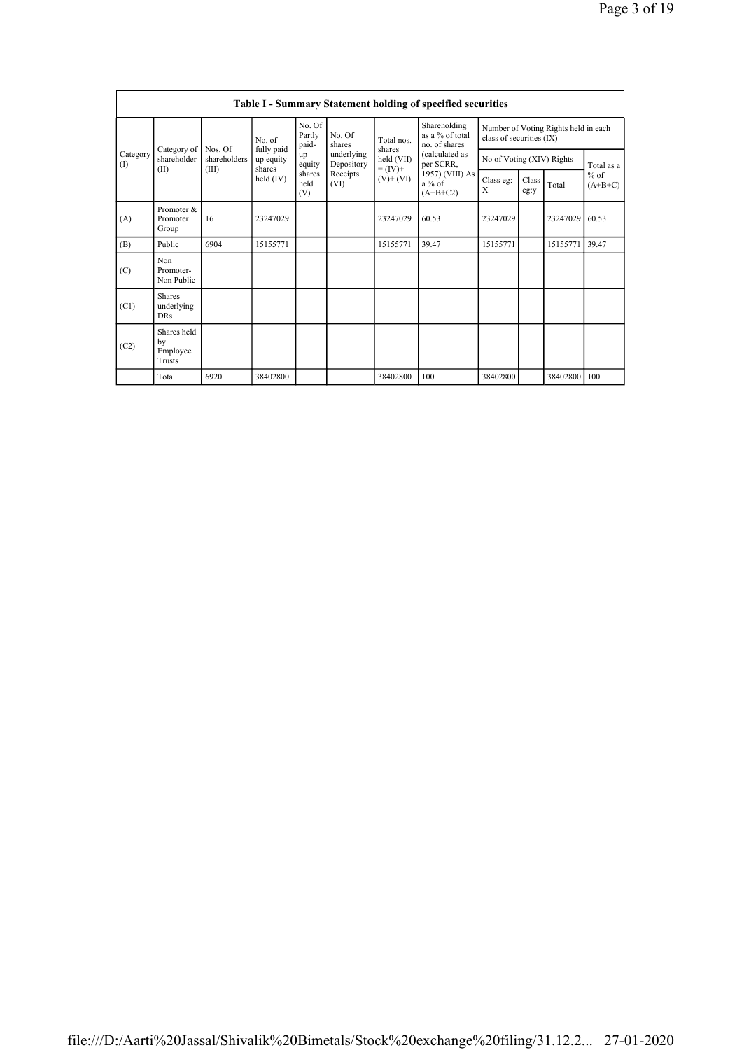|                 |                                           |                         |                         |                           |                          |                                    | Table I - Summary Statement holding of specified securities                                                                  |                                                                  |               |          |                     |
|-----------------|-------------------------------------------|-------------------------|-------------------------|---------------------------|--------------------------|------------------------------------|------------------------------------------------------------------------------------------------------------------------------|------------------------------------------------------------------|---------------|----------|---------------------|
|                 |                                           | Nos. Of<br>shareholders | No. of                  | No. Of<br>Partly<br>paid- | No. Of<br>shares         | Total nos.<br>shares<br>held (VII) | Shareholding<br>as a % of total<br>no. of shares<br>(calculated as<br>per SCRR,<br>1957) (VIII) As<br>$a\%$ of<br>$(A+B+C2)$ | Number of Voting Rights held in each<br>class of securities (IX) |               |          |                     |
| Category<br>(1) | Category of<br>shareholder                |                         | fully paid<br>up equity | up<br>equity              | underlying<br>Depository |                                    |                                                                                                                              | No of Voting (XIV) Rights                                        |               |          | Total as a          |
|                 | (II)                                      | (III)                   | shares<br>held (IV)     | shares<br>held<br>(V)     | Receipts<br>(VI)         | $= (IV) +$<br>$(V)$ + $(VI)$       |                                                                                                                              | Class eg:<br>X                                                   | Class<br>eg:y | Total    | $%$ of<br>$(A+B+C)$ |
| (A)             | Promoter &<br>Promoter<br>Group           | 16                      | 23247029                |                           |                          | 23247029                           | 60.53                                                                                                                        | 23247029                                                         |               | 23247029 | 60.53               |
| (B)             | Public                                    | 6904                    | 15155771                |                           |                          | 15155771                           | 39.47                                                                                                                        | 15155771                                                         |               | 15155771 | 39.47               |
| (C)             | Non<br>Promoter-<br>Non Public            |                         |                         |                           |                          |                                    |                                                                                                                              |                                                                  |               |          |                     |
| (C1)            | <b>Shares</b><br>underlying<br><b>DRs</b> |                         |                         |                           |                          |                                    |                                                                                                                              |                                                                  |               |          |                     |
| (C2)            | Shares held<br>by<br>Employee<br>Trusts   |                         |                         |                           |                          |                                    |                                                                                                                              |                                                                  |               |          |                     |
|                 | Total                                     | 6920                    | 38402800                |                           |                          | 38402800                           | 100                                                                                                                          | 38402800                                                         |               | 38402800 | 100                 |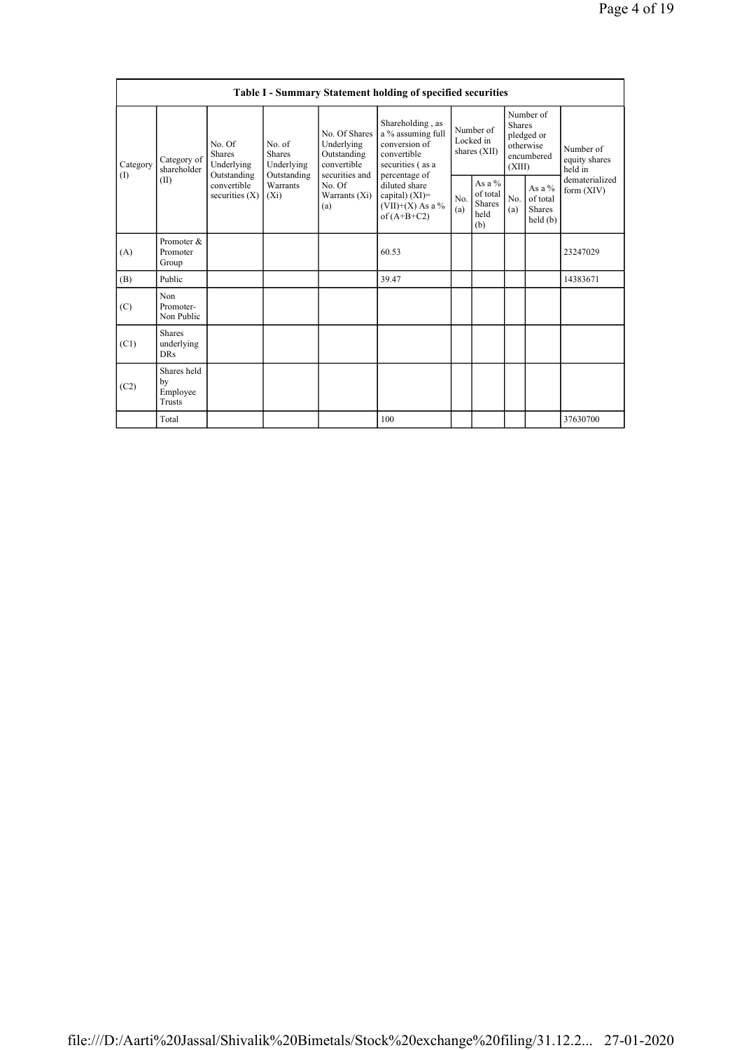|                 |                                                       |                                 |                                                                             |                                                                                                               | Table I - Summary Statement holding of specified securities                                                |                                        |                                               |                                                                               |                                                   |                                       |
|-----------------|-------------------------------------------------------|---------------------------------|-----------------------------------------------------------------------------|---------------------------------------------------------------------------------------------------------------|------------------------------------------------------------------------------------------------------------|----------------------------------------|-----------------------------------------------|-------------------------------------------------------------------------------|---------------------------------------------------|---------------------------------------|
| Category<br>(1) | No. Of<br><b>Shares</b><br>Category of<br>shareholder | Underlying<br>Outstanding       | No. of<br><b>Shares</b><br>Underlying<br>Outstanding<br>Warrants<br>$(X_i)$ | No. Of Shares<br>Underlying<br>Outstanding<br>convertible<br>securities and<br>No. Of<br>Warrants (Xi)<br>(a) | Shareholding, as<br>a % assuming full<br>conversion of<br>convertible<br>securities (as a<br>percentage of | Number of<br>Locked in<br>shares (XII) |                                               | Number of<br><b>Shares</b><br>pledged or<br>otherwise<br>encumbered<br>(XIII) |                                                   | Number of<br>equity shares<br>held in |
|                 | (II)                                                  | convertible<br>securities $(X)$ |                                                                             |                                                                                                               | diluted share<br>capital) $(XI)$ =<br>$(VII)+(X)$ As a %<br>of $(A+B+C2)$                                  | No.<br>(a)                             | As a $%$<br>of total<br>Shares<br>held<br>(b) | No.<br>(a)                                                                    | As a $%$<br>of total<br><b>Shares</b><br>held (b) | dematerialized<br>form $(XIV)$        |
| (A)             | Promoter &<br>Promoter<br>Group                       |                                 |                                                                             |                                                                                                               | 60.53                                                                                                      |                                        |                                               |                                                                               |                                                   | 23247029                              |
| (B)             | Public                                                |                                 |                                                                             |                                                                                                               | 39.47                                                                                                      |                                        |                                               |                                                                               |                                                   | 14383671                              |
| (C)             | Non<br>Promoter-<br>Non Public                        |                                 |                                                                             |                                                                                                               |                                                                                                            |                                        |                                               |                                                                               |                                                   |                                       |
| (C1)            | <b>Shares</b><br>underlying<br><b>DRs</b>             |                                 |                                                                             |                                                                                                               |                                                                                                            |                                        |                                               |                                                                               |                                                   |                                       |
| (C2)            | Shares held<br>by<br>Employee<br>Trusts               |                                 |                                                                             |                                                                                                               |                                                                                                            |                                        |                                               |                                                                               |                                                   |                                       |
|                 | Total                                                 |                                 |                                                                             |                                                                                                               | 100                                                                                                        |                                        |                                               |                                                                               |                                                   | 37630700                              |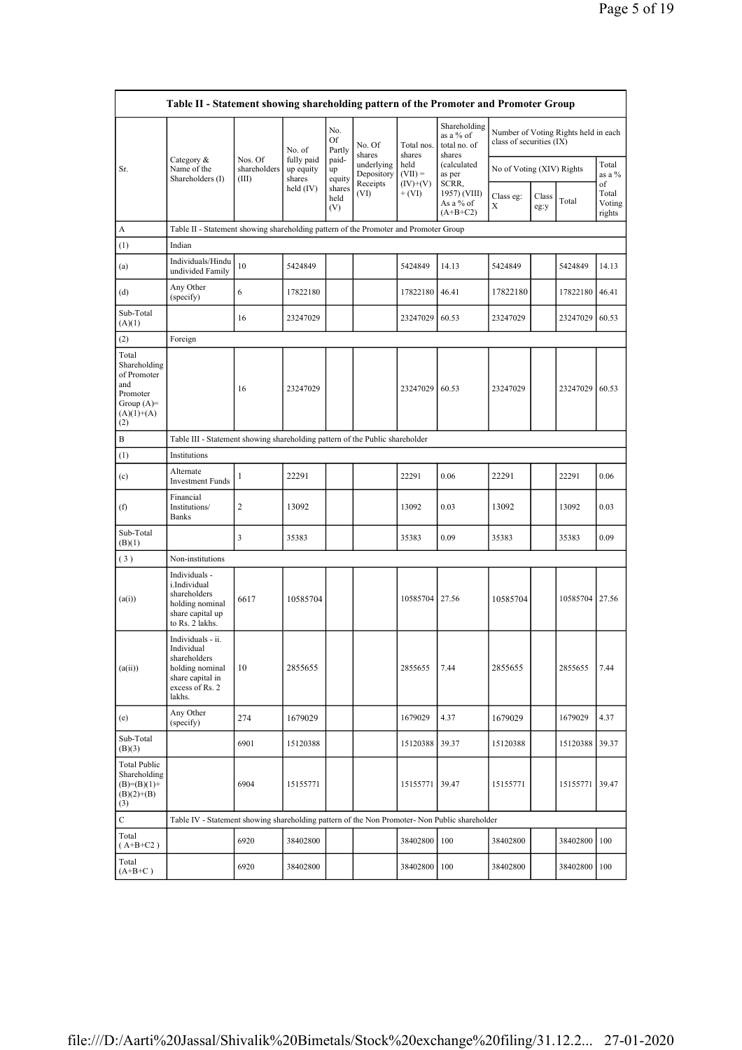|                                                                                                | Table II - Statement showing shareholding pattern of the Promoter and Promoter Group                                |                                  |                                   |                            |                                      |                        |                                                     |                           |               |                                      |                                 |
|------------------------------------------------------------------------------------------------|---------------------------------------------------------------------------------------------------------------------|----------------------------------|-----------------------------------|----------------------------|--------------------------------------|------------------------|-----------------------------------------------------|---------------------------|---------------|--------------------------------------|---------------------------------|
|                                                                                                |                                                                                                                     |                                  | No. of                            | No.<br><b>Of</b><br>Partly | No. Of<br>shares                     | Total nos.<br>shares   | Shareholding<br>as a % of<br>total no. of<br>shares | class of securities (IX)  |               | Number of Voting Rights held in each |                                 |
| Sr.                                                                                            | Category $\&$<br>Name of the<br>Shareholders (I)                                                                    | Nos. Of<br>shareholders<br>(III) | fully paid<br>up equity<br>shares | paid-<br>up<br>equity      | underlying<br>Depository<br>Receipts | held<br>$(VII) =$      | (calculated<br>as per                               | No of Voting (XIV) Rights |               |                                      | Total<br>as a %                 |
|                                                                                                |                                                                                                                     |                                  | held (IV)                         | shares<br>held<br>(V)      | (VI)                                 | $(IV)+(V)$<br>$+ (VI)$ | SCRR,<br>1957) (VIII)<br>As a % of<br>$(A+B+C2)$    | Class eg:<br>X            | Class<br>eg:y | Total                                | of<br>Total<br>Voting<br>rights |
| A                                                                                              | Table II - Statement showing shareholding pattern of the Promoter and Promoter Group                                |                                  |                                   |                            |                                      |                        |                                                     |                           |               |                                      |                                 |
| (1)                                                                                            | Indian                                                                                                              |                                  |                                   |                            |                                      |                        |                                                     |                           |               |                                      |                                 |
| (a)                                                                                            | Individuals/Hindu<br>undivided Family                                                                               | 10                               | 5424849                           |                            |                                      | 5424849                | 14.13                                               | 5424849                   |               | 5424849                              | 14.13                           |
| (d)                                                                                            | Any Other<br>(specify)                                                                                              | 6                                | 17822180                          |                            |                                      | 17822180               | 46.41                                               | 17822180                  |               | 17822180                             | 46.41                           |
| Sub-Total<br>(A)(1)                                                                            |                                                                                                                     | 16                               | 23247029                          |                            |                                      | 23247029               | 60.53                                               | 23247029                  |               | 23247029                             | 60.53                           |
| (2)                                                                                            | Foreign                                                                                                             |                                  |                                   |                            |                                      |                        |                                                     |                           |               |                                      |                                 |
| Total<br>Shareholding<br>of Promoter<br>and<br>Promoter<br>Group $(A)=$<br>$(A)(1)+(A)$<br>(2) |                                                                                                                     | 16                               | 23247029                          |                            |                                      | 23247029               | 60.53                                               | 23247029                  |               | 23247029                             | 60.53                           |
| В                                                                                              | Table III - Statement showing shareholding pattern of the Public shareholder                                        |                                  |                                   |                            |                                      |                        |                                                     |                           |               |                                      |                                 |
| (1)                                                                                            | Institutions                                                                                                        |                                  |                                   |                            |                                      |                        |                                                     |                           |               |                                      |                                 |
| (c)                                                                                            | Alternate<br><b>Investment Funds</b>                                                                                | $\mathbf{1}$                     | 22291                             |                            |                                      | 22291                  | 0.06                                                | 22291                     |               | 22291                                | 0.06                            |
| (f)                                                                                            | Financial<br>Institutions/<br><b>Banks</b>                                                                          | $\overline{c}$                   | 13092                             |                            |                                      | 13092                  | 0.03                                                | 13092                     |               | 13092                                | 0.03                            |
| Sub-Total<br>(B)(1)                                                                            |                                                                                                                     | 3                                | 35383                             |                            |                                      | 35383                  | 0.09                                                | 35383                     |               | 35383                                | 0.09                            |
| (3)                                                                                            | Non-institutions                                                                                                    |                                  |                                   |                            |                                      |                        |                                                     |                           |               |                                      |                                 |
| (a(i))                                                                                         | Individuals -<br>i.Individual<br>shareholders<br>holding nominal<br>share capital up<br>to Rs. 2 lakhs.             | 6617                             | 10585704                          |                            |                                      | 10585704 27.56         |                                                     | 10585704                  |               | 10585704 27.56                       |                                 |
| (a(ii))                                                                                        | Individuals - ii.<br>Individual<br>shareholders<br>holding nominal<br>share capital in<br>excess of Rs. 2<br>lakhs. | 10                               | 2855655                           |                            |                                      | 2855655                | 7.44                                                | 2855655                   |               | 2855655                              | 7.44                            |
| (e)                                                                                            | Any Other<br>(specify)                                                                                              | 274                              | 1679029                           |                            |                                      | 1679029                | 4.37                                                | 1679029                   |               | 1679029                              | 4.37                            |
| Sub-Total<br>(B)(3)                                                                            |                                                                                                                     | 6901                             | 15120388                          |                            |                                      | 15120388               | 39.37                                               | 15120388                  |               | 15120388                             | 39.37                           |
| <b>Total Public</b><br>Shareholding<br>$(B)= (B)(1) +$<br>$(B)(2)+(B)$<br>(3)                  |                                                                                                                     | 6904                             | 15155771                          |                            |                                      | 15155771               | 39.47                                               | 15155771                  |               | 15155771                             | 39.47                           |
| $\mathbf C$                                                                                    | Table IV - Statement showing shareholding pattern of the Non Promoter- Non Public shareholder                       |                                  |                                   |                            |                                      |                        |                                                     |                           |               |                                      |                                 |
| Total<br>$(A+B+C2)$                                                                            |                                                                                                                     | 6920                             | 38402800                          |                            |                                      | 38402800               | 100                                                 | 38402800                  |               | 38402800                             | 100                             |
| Total<br>$(A+B+C)$                                                                             |                                                                                                                     | 6920                             | 38402800                          |                            |                                      | 38402800               | 100                                                 | 38402800                  |               | 38402800                             | 100                             |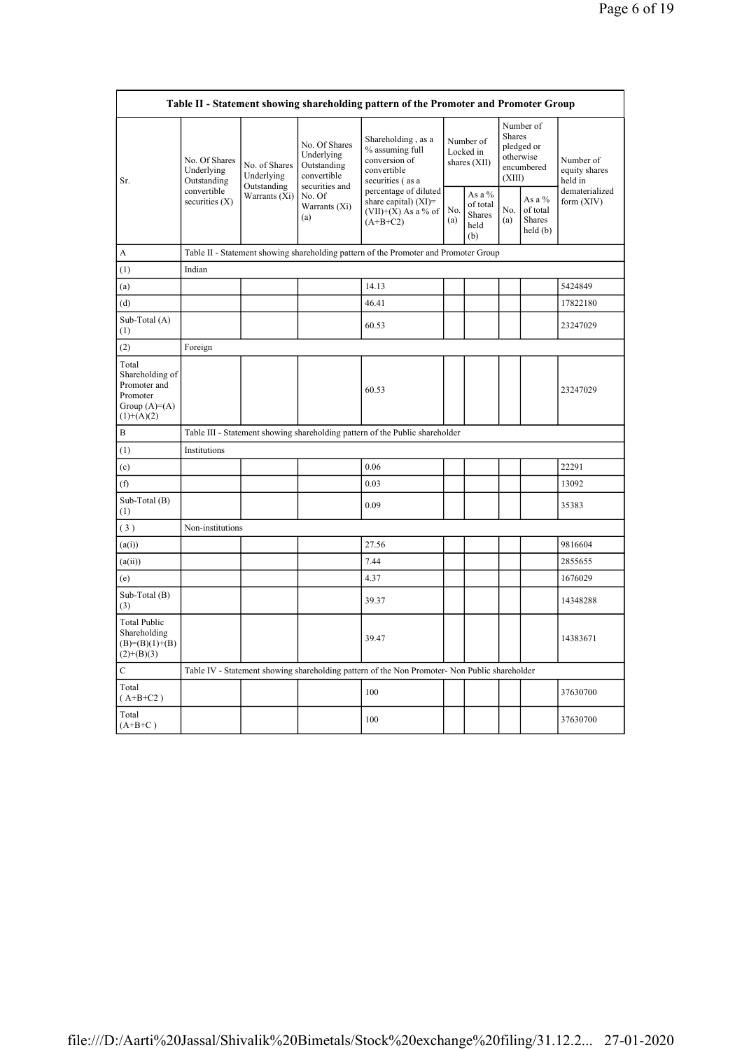|                                                                                        |                                                                               |                              |                                                           | Table II - Statement showing shareholding pattern of the Promoter and Promoter Group          |            |                                                    |                         |                                                    |                                       |
|----------------------------------------------------------------------------------------|-------------------------------------------------------------------------------|------------------------------|-----------------------------------------------------------|-----------------------------------------------------------------------------------------------|------------|----------------------------------------------------|-------------------------|----------------------------------------------------|---------------------------------------|
| Sr.                                                                                    | No. Of Shares<br>Underlying<br>Outstanding<br>convertible<br>securities $(X)$ | No. of Shares<br>Underlying  | No. Of Shares<br>Underlying<br>Outstanding<br>convertible | Shareholding, as a<br>% assuming full<br>conversion of<br>convertible<br>securities (as a     |            | Number of<br>Locked in<br>shares (XII)             | <b>Shares</b><br>(XIII) | Number of<br>pledged or<br>otherwise<br>encumbered | Number of<br>equity shares<br>held in |
|                                                                                        |                                                                               | Outstanding<br>Warrants (Xi) | securities and<br>No. Of<br>Warrants (Xi)<br>(a)          | percentage of diluted<br>share capital) $(XI)$ =<br>$(VII)+(X)$ As a % of<br>$(A+B+C2)$       | No.<br>(a) | As a %<br>of total<br><b>Shares</b><br>held<br>(b) | No.<br>(a)              | As a %<br>of total<br>Shares<br>held(b)            | dematerialized<br>form $(XIV)$        |
| A                                                                                      |                                                                               |                              |                                                           | Table II - Statement showing shareholding pattern of the Promoter and Promoter Group          |            |                                                    |                         |                                                    |                                       |
| (1)                                                                                    | Indian                                                                        |                              |                                                           |                                                                                               |            |                                                    |                         |                                                    |                                       |
| (a)                                                                                    |                                                                               |                              |                                                           | 14.13                                                                                         |            |                                                    |                         |                                                    | 5424849                               |
| (d)                                                                                    |                                                                               |                              |                                                           | 46.41                                                                                         |            |                                                    |                         |                                                    | 17822180                              |
| Sub-Total (A)<br>(1)                                                                   |                                                                               |                              |                                                           | 60.53                                                                                         |            |                                                    |                         |                                                    | 23247029                              |
| (2)                                                                                    | Foreign                                                                       |                              |                                                           |                                                                                               |            |                                                    |                         |                                                    |                                       |
| Total<br>Shareholding of<br>Promoter and<br>Promoter<br>Group $(A)=A)$<br>$(1)+(A)(2)$ |                                                                               |                              |                                                           | 60.53                                                                                         |            |                                                    |                         |                                                    | 23247029                              |
| B                                                                                      |                                                                               |                              |                                                           | Table III - Statement showing shareholding pattern of the Public shareholder                  |            |                                                    |                         |                                                    |                                       |
| (1)                                                                                    | Institutions                                                                  |                              |                                                           |                                                                                               |            |                                                    |                         |                                                    |                                       |
| (c)                                                                                    |                                                                               |                              |                                                           | 0.06                                                                                          |            |                                                    |                         |                                                    | 22291                                 |
| (f)                                                                                    |                                                                               |                              |                                                           | 0.03                                                                                          |            |                                                    |                         |                                                    | 13092                                 |
| $Sub-Total(B)$<br>(1)                                                                  |                                                                               |                              |                                                           | 0.09                                                                                          |            |                                                    |                         |                                                    | 35383                                 |
| (3)                                                                                    | Non-institutions                                                              |                              |                                                           |                                                                                               |            |                                                    |                         |                                                    |                                       |
| (a(i))                                                                                 |                                                                               |                              |                                                           | 27.56                                                                                         |            |                                                    |                         |                                                    | 9816604                               |
| (a(ii))                                                                                |                                                                               |                              |                                                           | 7.44                                                                                          |            |                                                    |                         |                                                    | 2855655                               |
| (e)                                                                                    |                                                                               |                              |                                                           | 4.37                                                                                          |            |                                                    |                         |                                                    | 1676029                               |
| Sub-Total (B)<br>(3)                                                                   |                                                                               |                              |                                                           | 39.37                                                                                         |            |                                                    |                         |                                                    | 14348288                              |
| <b>Total Public</b><br>Shareholding<br>$(B)= (B)(1)+(B)$<br>$(2)+(B)(3)$               |                                                                               |                              |                                                           | 39.47                                                                                         |            |                                                    |                         |                                                    | 14383671                              |
| $\overline{C}$                                                                         |                                                                               |                              |                                                           | Table IV - Statement showing shareholding pattern of the Non Promoter- Non Public shareholder |            |                                                    |                         |                                                    |                                       |
| Total<br>$(A+B+C2)$                                                                    |                                                                               |                              |                                                           | 100                                                                                           |            |                                                    |                         |                                                    | 37630700                              |
| Total<br>$(A+B+C)$                                                                     |                                                                               |                              |                                                           | 100                                                                                           |            |                                                    |                         |                                                    | 37630700                              |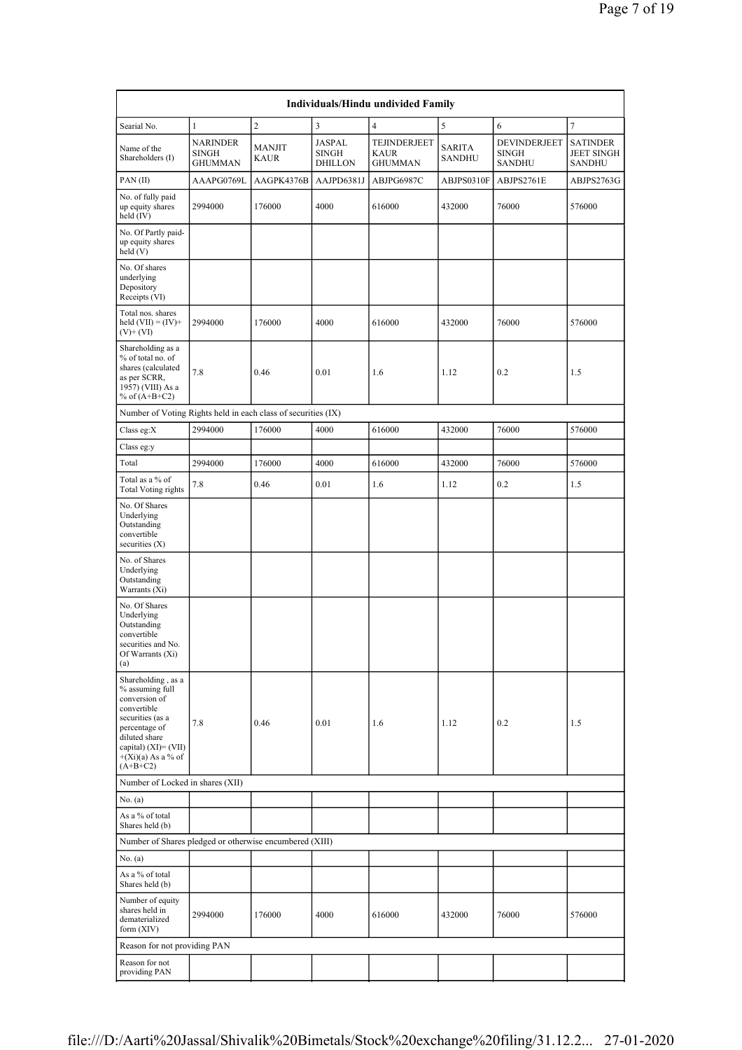|                                                                                                                                                                                              |                                                   |                              |                                          | Individuals/Hindu undivided Family            |                         |                                               |                                                       |
|----------------------------------------------------------------------------------------------------------------------------------------------------------------------------------------------|---------------------------------------------------|------------------------------|------------------------------------------|-----------------------------------------------|-------------------------|-----------------------------------------------|-------------------------------------------------------|
| Searial No.                                                                                                                                                                                  | $\mathbf{1}$                                      | $\overline{c}$               | 3                                        | $\overline{4}$                                | 5                       | 6                                             | $\overline{7}$                                        |
| Name of the<br>Shareholders (I)                                                                                                                                                              | <b>NARINDER</b><br><b>SINGH</b><br><b>GHUMMAN</b> | <b>MANJIT</b><br><b>KAUR</b> | JASPAL<br><b>SINGH</b><br><b>DHILLON</b> | TEJINDERJEET<br><b>KAUR</b><br><b>GHUMMAN</b> | SARITA<br><b>SANDHU</b> | DEVINDERJEET<br><b>SINGH</b><br><b>SANDHU</b> | <b>SATINDER</b><br><b>JEET SINGH</b><br><b>SANDHU</b> |
| PAN(II)                                                                                                                                                                                      | AAAPG0769L                                        | AAGPK4376B                   | AAJPD6381J                               | ABJPG6987C                                    | ABJPS0310F              | ABJPS2761E                                    | ABJPS2763G                                            |
| No. of fully paid<br>up equity shares<br>held (IV)                                                                                                                                           | 2994000                                           | 176000                       | 4000                                     | 616000                                        | 432000                  | 76000                                         | 576000                                                |
| No. Of Partly paid-<br>up equity shares<br>held (V)                                                                                                                                          |                                                   |                              |                                          |                                               |                         |                                               |                                                       |
| No. Of shares<br>underlying<br>Depository<br>Receipts (VI)                                                                                                                                   |                                                   |                              |                                          |                                               |                         |                                               |                                                       |
| Total nos. shares<br>held $(VII) = (IV) +$<br>$(V)$ + $(VI)$                                                                                                                                 | 2994000                                           | 176000                       | 4000                                     | 616000                                        | 432000                  | 76000                                         | 576000                                                |
| Shareholding as a<br>% of total no. of<br>shares (calculated<br>as per SCRR,<br>1957) (VIII) As a<br>% of $(A+B+C2)$                                                                         | 7.8                                               | 0.46                         | 0.01                                     | 1.6                                           | 1.12                    | 0.2                                           | 1.5                                                   |
| Number of Voting Rights held in each class of securities (IX)                                                                                                                                |                                                   |                              |                                          |                                               |                         |                                               |                                                       |
| Class eg:X                                                                                                                                                                                   | 2994000                                           | 176000                       | 4000                                     | 616000                                        | 432000                  | 76000                                         | 576000                                                |
| Class eg:y                                                                                                                                                                                   |                                                   |                              |                                          |                                               |                         |                                               |                                                       |
| Total                                                                                                                                                                                        | 2994000                                           | 176000                       | 4000                                     | 616000                                        | 432000                  | 76000                                         | 576000                                                |
| Total as a % of<br><b>Total Voting rights</b>                                                                                                                                                | 7.8                                               | 0.46                         | 0.01                                     | 1.6                                           | 1.12                    | 0.2                                           | 1.5                                                   |
| No. Of Shares<br>Underlying<br>Outstanding<br>convertible<br>securities (X)                                                                                                                  |                                                   |                              |                                          |                                               |                         |                                               |                                                       |
| No. of Shares<br>Underlying<br>Outstanding<br>Warrants (Xi)                                                                                                                                  |                                                   |                              |                                          |                                               |                         |                                               |                                                       |
| No. Of Shares<br>Underlying<br>Outstanding<br>convertible<br>securities and No.<br>Of Warrants (Xi)<br>(a)                                                                                   |                                                   |                              |                                          |                                               |                         |                                               |                                                       |
| Shareholding, as a<br>% assuming full<br>conversion of<br>convertible<br>securities (as a<br>percentage of<br>diluted share<br>capital) $(XI) = (VII)$<br>$+(Xi)(a)$ As a % of<br>$(A+B+C2)$ | 7.8                                               | 0.46                         | 0.01                                     | 1.6                                           | 1.12                    | 0.2                                           | 1.5                                                   |
| Number of Locked in shares (XII)                                                                                                                                                             |                                                   |                              |                                          |                                               |                         |                                               |                                                       |
| No. (a)                                                                                                                                                                                      |                                                   |                              |                                          |                                               |                         |                                               |                                                       |
| As a % of total<br>Shares held (b)                                                                                                                                                           |                                                   |                              |                                          |                                               |                         |                                               |                                                       |
| Number of Shares pledged or otherwise encumbered (XIII)                                                                                                                                      |                                                   |                              |                                          |                                               |                         |                                               |                                                       |
| No. (a)                                                                                                                                                                                      |                                                   |                              |                                          |                                               |                         |                                               |                                                       |
| As a % of total<br>Shares held (b)                                                                                                                                                           |                                                   |                              |                                          |                                               |                         |                                               |                                                       |
| Number of equity<br>shares held in<br>dematerialized<br>form $(XIV)$                                                                                                                         | 2994000                                           | 176000                       | 4000                                     | 616000                                        | 432000                  | 76000                                         | 576000                                                |
| Reason for not providing PAN                                                                                                                                                                 |                                                   |                              |                                          |                                               |                         |                                               |                                                       |
| Reason for not<br>providing PAN                                                                                                                                                              |                                                   |                              |                                          |                                               |                         |                                               |                                                       |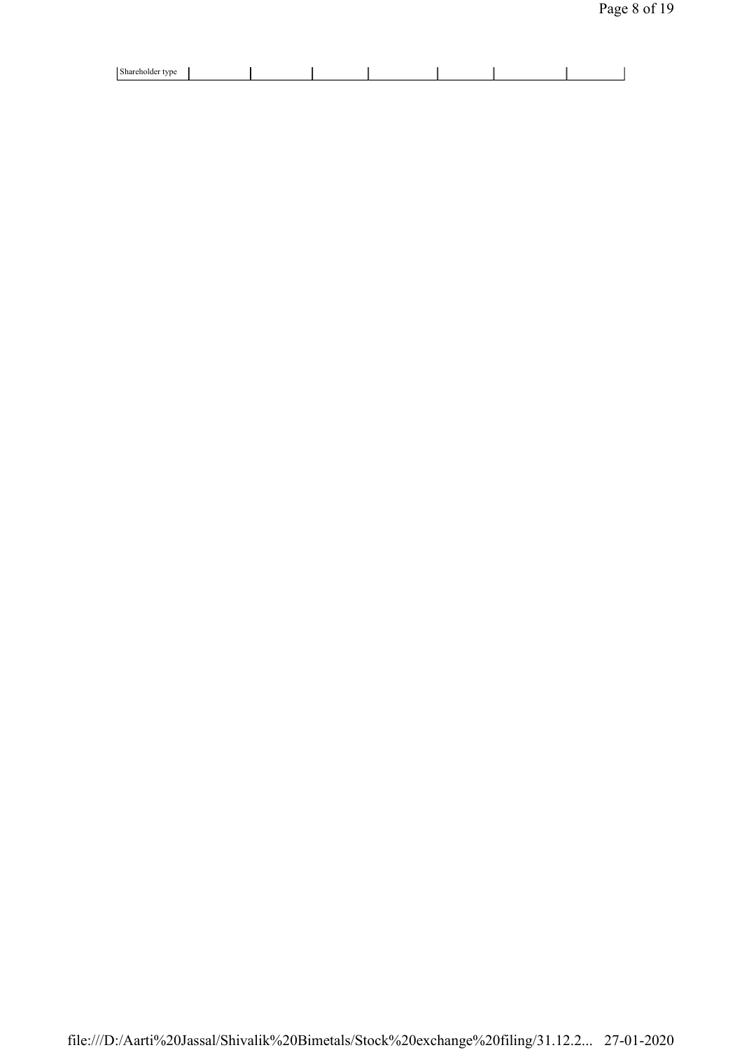| Shareholder<br><b>VDE</b><br>. . |  |  |  |  |
|----------------------------------|--|--|--|--|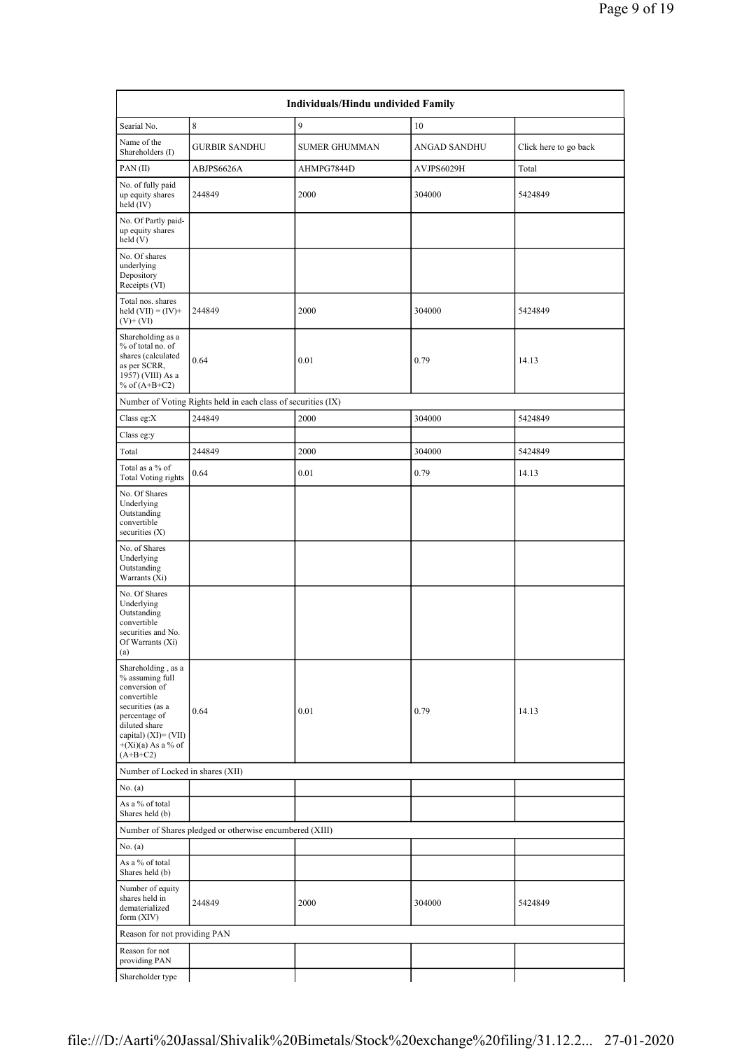|                                                                                                                                                                                              |                                                               | Individuals/Hindu undivided Family |              |                       |  |
|----------------------------------------------------------------------------------------------------------------------------------------------------------------------------------------------|---------------------------------------------------------------|------------------------------------|--------------|-----------------------|--|
| Searial No.                                                                                                                                                                                  | 8                                                             | 9                                  | 10           |                       |  |
| Name of the<br>Shareholders (I)                                                                                                                                                              | <b>GURBIR SANDHU</b>                                          | <b>SUMER GHUMMAN</b>               | ANGAD SANDHU | Click here to go back |  |
| PAN(II)                                                                                                                                                                                      | ABJPS6626A                                                    | AHMPG7844D                         | AVJPS6029H   | Total                 |  |
| No. of fully paid<br>up equity shares<br>held (IV)                                                                                                                                           | 244849                                                        | 2000                               | 304000       | 5424849               |  |
| No. Of Partly paid-<br>up equity shares<br>held (V)                                                                                                                                          |                                                               |                                    |              |                       |  |
| No. Of shares<br>underlying<br>Depository<br>Receipts (VI)                                                                                                                                   |                                                               |                                    |              |                       |  |
| Total nos. shares<br>held $(VII) = (IV) +$<br>$(V)$ + $(VI)$                                                                                                                                 | 244849                                                        | 2000                               | 304000       | 5424849               |  |
| Shareholding as a<br>% of total no. of<br>shares (calculated<br>as per SCRR,<br>1957) (VIII) As a<br>% of $(A+B+C2)$                                                                         | 0.64                                                          | 0.01                               | 0.79         | 14.13                 |  |
|                                                                                                                                                                                              | Number of Voting Rights held in each class of securities (IX) |                                    |              |                       |  |
| Class eg: $X$                                                                                                                                                                                | 244849                                                        | 2000                               | 304000       | 5424849               |  |
| Class eg:y                                                                                                                                                                                   |                                                               |                                    |              |                       |  |
| Total                                                                                                                                                                                        | 244849                                                        | 2000                               | 304000       | 5424849               |  |
| Total as a % of<br><b>Total Voting rights</b>                                                                                                                                                | 0.64                                                          | 0.01                               | 0.79         | 14.13                 |  |
| No. Of Shares<br>Underlying<br>Outstanding<br>convertible<br>securities $(X)$                                                                                                                |                                                               |                                    |              |                       |  |
| No. of Shares<br>Underlying<br>Outstanding<br>Warrants (Xi)                                                                                                                                  |                                                               |                                    |              |                       |  |
| No. Of Shares<br>Underlying<br>Outstanding<br>convertible<br>securities and No.<br>Of Warrants (Xi)<br>(a)                                                                                   |                                                               |                                    |              |                       |  |
| Shareholding, as a<br>% assuming full<br>conversion of<br>convertible<br>securities (as a<br>percentage of<br>diluted share<br>capital) $(XI) = (VII)$<br>$+(Xi)(a)$ As a % of<br>$(A+B+C2)$ | 0.64                                                          | 0.01                               | 0.79         | 14.13                 |  |
| Number of Locked in shares (XII)                                                                                                                                                             |                                                               |                                    |              |                       |  |
| No. (a)                                                                                                                                                                                      |                                                               |                                    |              |                       |  |
| As a % of total<br>Shares held (b)                                                                                                                                                           |                                                               |                                    |              |                       |  |
|                                                                                                                                                                                              | Number of Shares pledged or otherwise encumbered (XIII)       |                                    |              |                       |  |
| No. (a)                                                                                                                                                                                      |                                                               |                                    |              |                       |  |
| As a % of total<br>Shares held (b)                                                                                                                                                           |                                                               |                                    |              |                       |  |
| Number of equity<br>shares held in<br>dematerialized<br>form (XIV)                                                                                                                           | 244849                                                        | 2000                               | 304000       | 5424849               |  |
| Reason for not providing PAN                                                                                                                                                                 |                                                               |                                    |              |                       |  |
| Reason for not<br>providing PAN                                                                                                                                                              |                                                               |                                    |              |                       |  |
| Shareholder type                                                                                                                                                                             |                                                               |                                    |              |                       |  |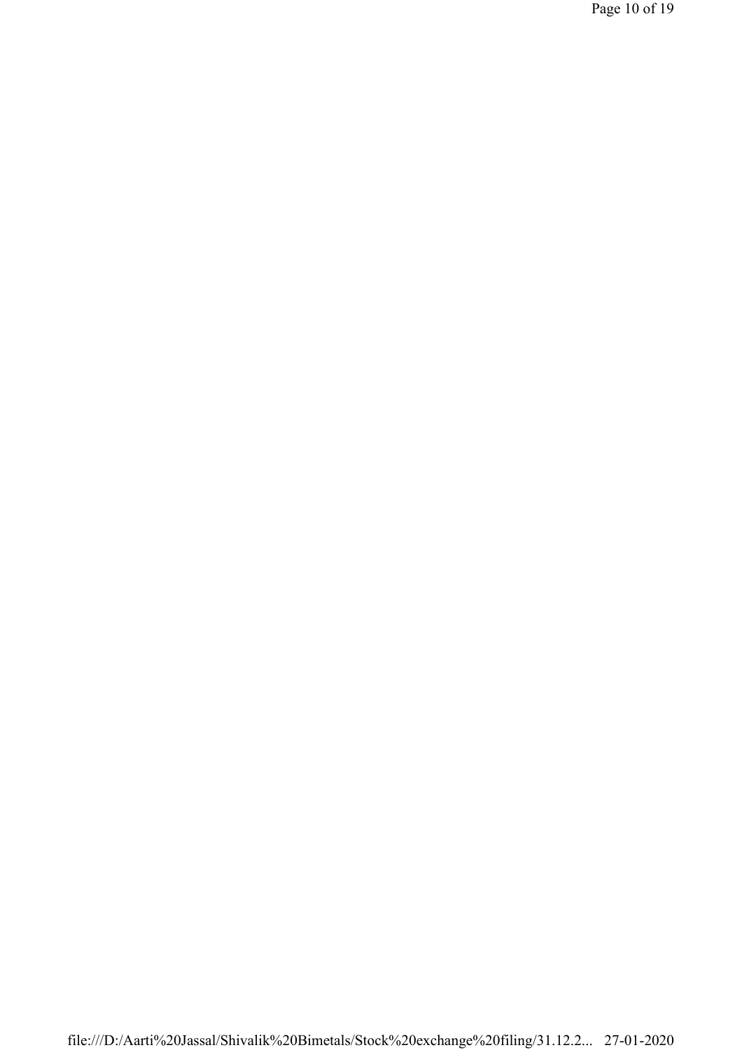Page 10 of 19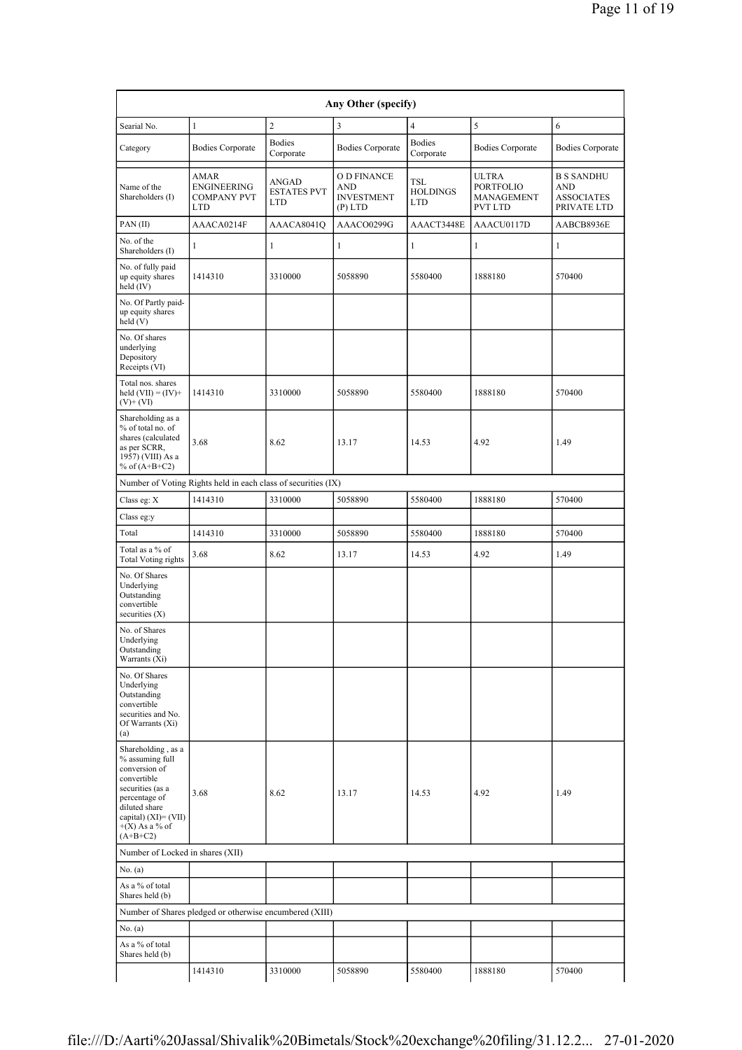|                                                                                                                                                                                          |                                                               |                                                  | Any Other (specify)                                         |                                      |                                                    |                                                              |
|------------------------------------------------------------------------------------------------------------------------------------------------------------------------------------------|---------------------------------------------------------------|--------------------------------------------------|-------------------------------------------------------------|--------------------------------------|----------------------------------------------------|--------------------------------------------------------------|
| Searial No.                                                                                                                                                                              | $\mathbf{1}$                                                  | $\overline{2}$                                   | $\overline{\mathbf{3}}$                                     | $\overline{4}$                       | 5                                                  | 6                                                            |
| Category                                                                                                                                                                                 | <b>Bodies Corporate</b>                                       | <b>Bodies</b><br>Corporate                       | <b>Bodies Corporate</b>                                     | <b>Bodies</b><br>Corporate           | <b>Bodies Corporate</b>                            | <b>Bodies Corporate</b>                                      |
| Name of the<br>Shareholders (I)                                                                                                                                                          | AMAR<br>ENGINEERING<br><b>COMPANY PVT</b><br><b>LTD</b>       | <b>ANGAD</b><br><b>ESTATES PVT</b><br><b>LTD</b> | O D FINANCE<br><b>AND</b><br><b>INVESTMENT</b><br>$(P)$ LTD | TSL<br><b>HOLDINGS</b><br><b>LTD</b> | ULTRA<br><b>PORTFOLIO</b><br>MANAGEMENT<br>PVT LTD | <b>B S SANDHU</b><br>AND<br><b>ASSOCIATES</b><br>PRIVATE LTD |
| PAN(II)                                                                                                                                                                                  | AAACA0214F                                                    | AAACA8041Q                                       | AAACO0299G                                                  | AAACT3448E                           | AAACU0117D                                         | AABCB8936E                                                   |
| No. of the<br>Shareholders (I)                                                                                                                                                           | 1                                                             | 1                                                | 1                                                           | 1                                    | $\mathbf{1}$                                       | $\mathbf{1}$                                                 |
| No. of fully paid<br>up equity shares<br>held (IV)                                                                                                                                       | 1414310                                                       | 3310000                                          | 5058890                                                     | 5580400                              | 1888180                                            | 570400                                                       |
| No. Of Partly paid-<br>up equity shares<br>held (V)                                                                                                                                      |                                                               |                                                  |                                                             |                                      |                                                    |                                                              |
| No. Of shares<br>underlying<br>Depository<br>Receipts (VI)                                                                                                                               |                                                               |                                                  |                                                             |                                      |                                                    |                                                              |
| Total nos. shares<br>held $(VII) = (IV) +$<br>$(V)$ + $(VI)$                                                                                                                             | 1414310                                                       | 3310000                                          | 5058890                                                     | 5580400                              | 1888180                                            | 570400                                                       |
| Shareholding as a<br>% of total no. of<br>shares (calculated<br>as per SCRR,<br>1957) (VIII) As a<br>% of $(A+B+C2)$                                                                     | 3.68                                                          | 8.62                                             | 13.17                                                       | 14.53                                | 4.92                                               | 1.49                                                         |
|                                                                                                                                                                                          | Number of Voting Rights held in each class of securities (IX) |                                                  |                                                             |                                      |                                                    |                                                              |
| Class eg: X                                                                                                                                                                              | 1414310                                                       | 3310000                                          | 5058890                                                     | 5580400                              | 1888180                                            | 570400                                                       |
| Class eg:y                                                                                                                                                                               |                                                               |                                                  |                                                             |                                      |                                                    |                                                              |
| Total                                                                                                                                                                                    | 1414310                                                       | 3310000                                          | 5058890                                                     | 5580400                              | 1888180                                            | 570400                                                       |
| Total as a % of<br><b>Total Voting rights</b>                                                                                                                                            | 3.68                                                          | 8.62                                             | 13.17                                                       | 14.53                                | 4.92                                               | 1.49                                                         |
| No. Of Shares<br>Underlying<br>Outstanding<br>convertible<br>securities $(X)$                                                                                                            |                                                               |                                                  |                                                             |                                      |                                                    |                                                              |
| No. of Shares<br>Underlying<br>Outstanding<br>Warrants (Xi)                                                                                                                              |                                                               |                                                  |                                                             |                                      |                                                    |                                                              |
| No. Of Shares<br>Underlying<br>Outstanding<br>convertible<br>securities and No.<br>Of Warrants (Xi)<br>(a)                                                                               |                                                               |                                                  |                                                             |                                      |                                                    |                                                              |
| Shareholding, as a<br>% assuming full<br>conversion of<br>convertible<br>securities (as a<br>percentage of<br>diluted share<br>capital) $(XI) = (VII)$<br>$+(X)$ As a % of<br>$(A+B+C2)$ | 3.68                                                          | 8.62                                             | 13.17                                                       | 14.53                                | 4.92                                               | 1.49                                                         |
| Number of Locked in shares (XII)                                                                                                                                                         |                                                               |                                                  |                                                             |                                      |                                                    |                                                              |
| No. (a)                                                                                                                                                                                  |                                                               |                                                  |                                                             |                                      |                                                    |                                                              |
| As a % of total<br>Shares held (b)                                                                                                                                                       |                                                               |                                                  |                                                             |                                      |                                                    |                                                              |
|                                                                                                                                                                                          | Number of Shares pledged or otherwise encumbered (XIII)       |                                                  |                                                             |                                      |                                                    |                                                              |
| No. $(a)$                                                                                                                                                                                |                                                               |                                                  |                                                             |                                      |                                                    |                                                              |
| As a % of total                                                                                                                                                                          |                                                               |                                                  |                                                             |                                      |                                                    |                                                              |
| Shares held (b)                                                                                                                                                                          | 1414310                                                       | 3310000                                          | 5058890                                                     | 5580400                              | 1888180                                            | 570400                                                       |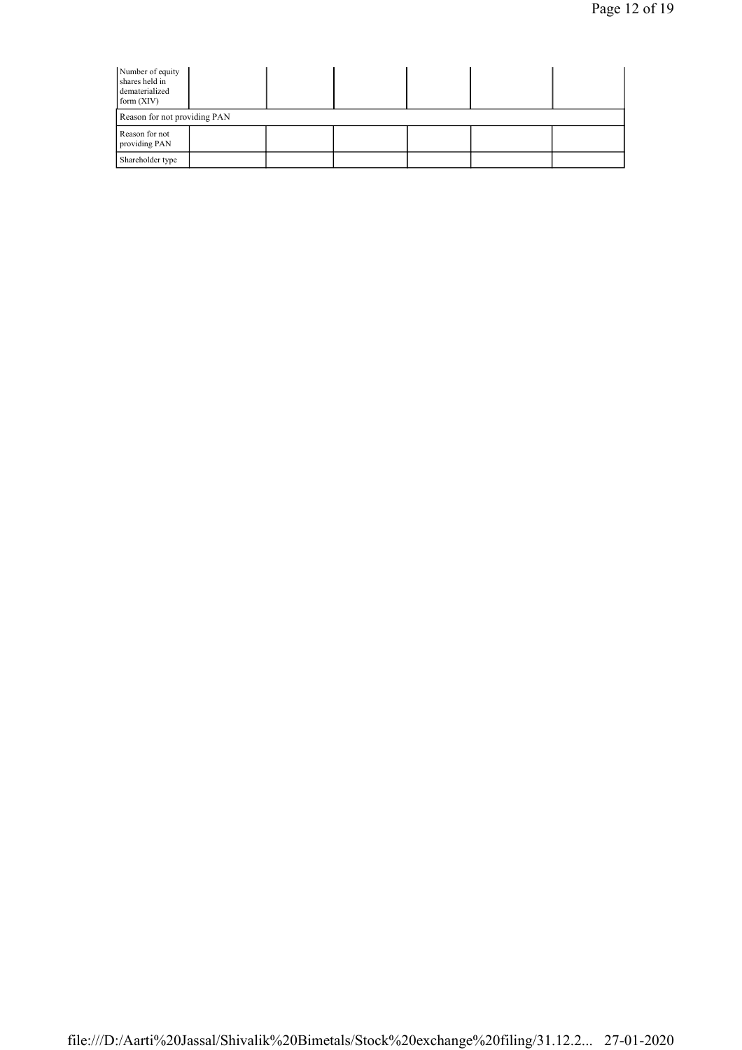| Number of equity<br>shares held in<br>dematerialized<br>form $(XIV)$ |  |  |  |
|----------------------------------------------------------------------|--|--|--|
| Reason for not providing PAN                                         |  |  |  |
| Reason for not<br>providing PAN                                      |  |  |  |
| Shareholder type                                                     |  |  |  |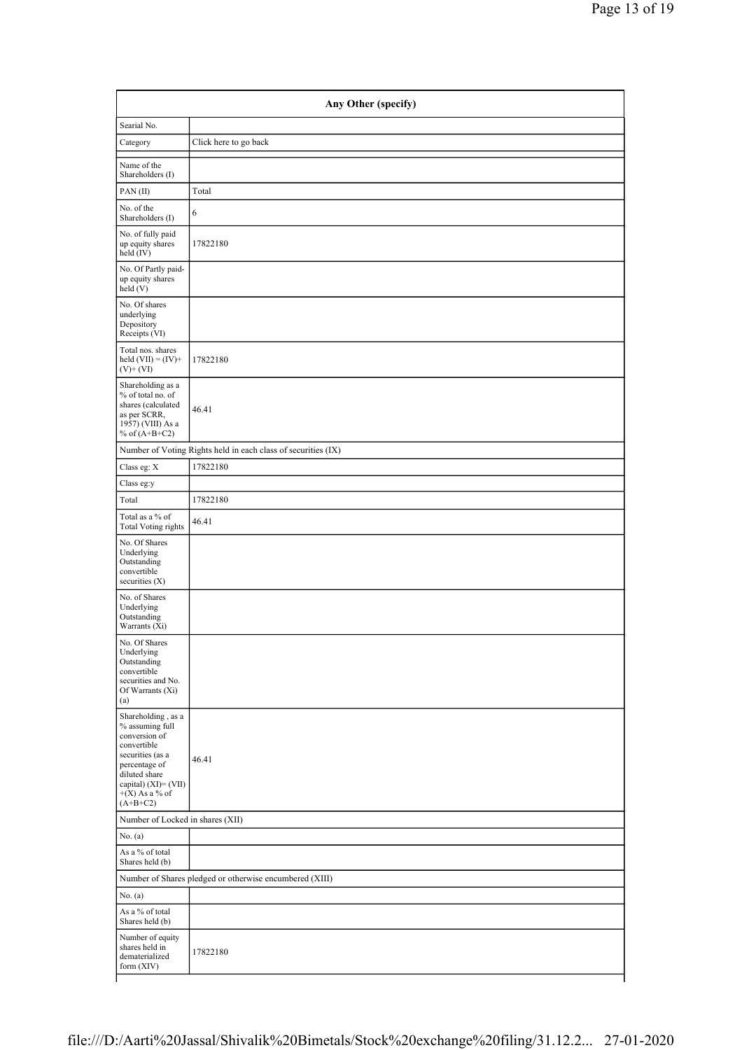| Searial No.                                                                                                                                                                           |                                                               |
|---------------------------------------------------------------------------------------------------------------------------------------------------------------------------------------|---------------------------------------------------------------|
| Category                                                                                                                                                                              | Click here to go back                                         |
| Name of the<br>Shareholders (I)                                                                                                                                                       |                                                               |
| PAN(II)                                                                                                                                                                               | Total                                                         |
| No. of the<br>Shareholders (I)                                                                                                                                                        | 6                                                             |
| No. of fully paid<br>up equity shares<br>held (IV)                                                                                                                                    | 17822180                                                      |
| No. Of Partly paid-<br>up equity shares<br>held(V)                                                                                                                                    |                                                               |
| No. Of shares<br>underlying<br>Depository<br>Receipts (VI)                                                                                                                            |                                                               |
| Total nos. shares<br>held $(VII) = (IV) +$<br>$(V)$ + $(VI)$                                                                                                                          | 17822180                                                      |
| Shareholding as a<br>% of total no. of<br>shares (calculated<br>as per SCRR,<br>1957) (VIII) As a<br>% of $(A+B+C2)$                                                                  | 46.41                                                         |
|                                                                                                                                                                                       | Number of Voting Rights held in each class of securities (IX) |
| Class eg: $\mathbf X$                                                                                                                                                                 | 17822180                                                      |
| Class eg:y                                                                                                                                                                            |                                                               |
| Total                                                                                                                                                                                 | 17822180                                                      |
| Total as a % of<br><b>Total Voting rights</b>                                                                                                                                         | 46.41                                                         |
| No. Of Shares<br>Underlying<br>Outstanding<br>convertible<br>securities (X)                                                                                                           |                                                               |
| No. of Shares<br>Underlying<br>Outstanding<br>Warrants (Xi)                                                                                                                           |                                                               |
| No. Of Shares<br>Underlying<br>Outstanding<br>convertible<br>securities and No.<br>Of Warrants (Xi)<br>(a)                                                                            |                                                               |
| Shareholding, as a<br>% assuming full<br>conversion of<br>convertible<br>securities (as a<br>percentage of<br>diluted share<br>capital) (XI)= (VII)<br>$+(X)$ As a % of<br>$(A+B+C2)$ | 46.41                                                         |
| Number of Locked in shares (XII)                                                                                                                                                      |                                                               |
| No. (a)                                                                                                                                                                               |                                                               |
| As a % of total<br>Shares held (b)                                                                                                                                                    |                                                               |
|                                                                                                                                                                                       | Number of Shares pledged or otherwise encumbered (XIII)       |
| No. (a)                                                                                                                                                                               |                                                               |
| As a % of total<br>Shares held (b)                                                                                                                                                    |                                                               |
| Number of equity<br>shares held in<br>dematerialized<br>form (XIV)                                                                                                                    | 17822180                                                      |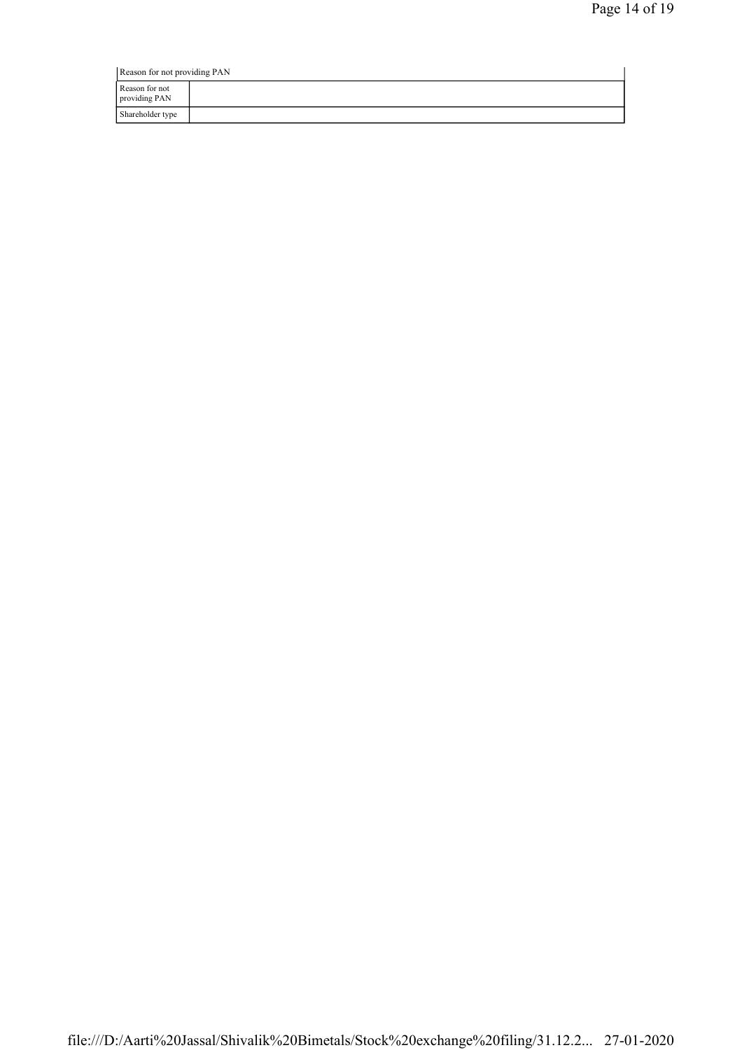| Reason for not providing PAN    |  |  |
|---------------------------------|--|--|
| Reason for not<br>providing PAN |  |  |
| Shareholder type                |  |  |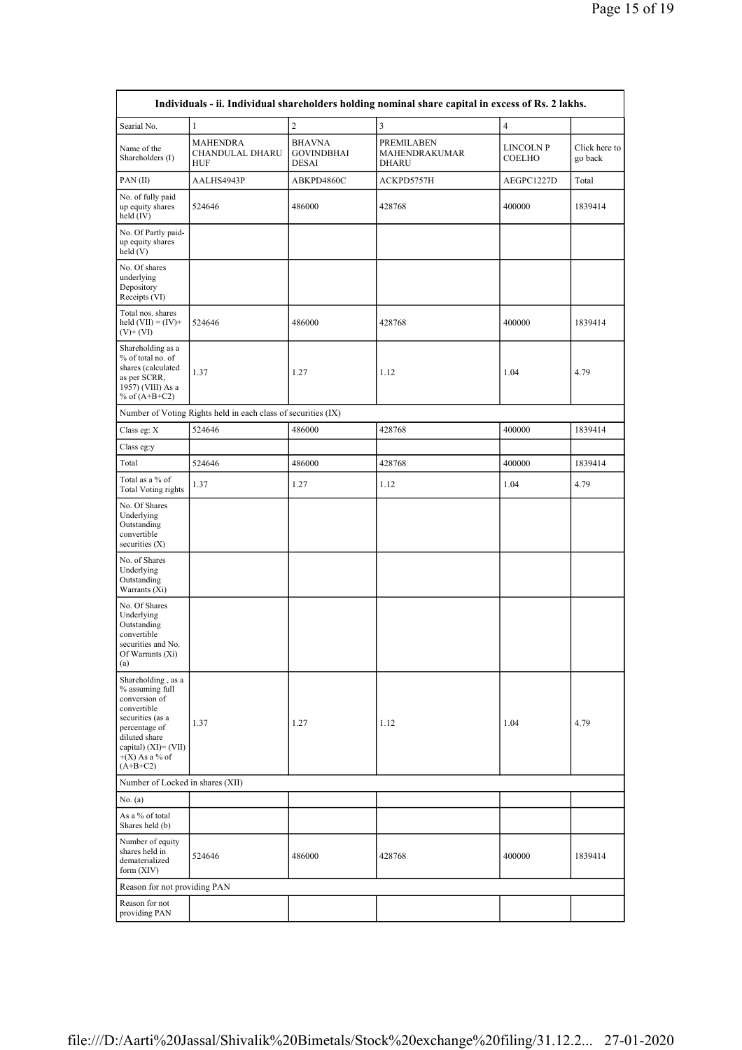| Individuals - ii. Individual shareholders holding nominal share capital in excess of Rs. 2 lakhs.                                                                                     |                                                               |                                                    |                                             |                     |                          |  |  |
|---------------------------------------------------------------------------------------------------------------------------------------------------------------------------------------|---------------------------------------------------------------|----------------------------------------------------|---------------------------------------------|---------------------|--------------------------|--|--|
| Searial No.                                                                                                                                                                           | $\mathbf{1}$                                                  | $\overline{2}$                                     | $\mathfrak{Z}$                              | $\overline{4}$      |                          |  |  |
| Name of the<br>Shareholders (I)                                                                                                                                                       | <b>MAHENDRA</b><br>CHANDULAL DHARU<br>HUF                     | <b>BHAVNA</b><br><b>GOVINDBHAI</b><br><b>DESAI</b> | PREMILABEN<br>MAHENDRAKUMAR<br><b>DHARU</b> | LINCOLN P<br>COELHO | Click here to<br>go back |  |  |
| PAN(II)                                                                                                                                                                               | AALHS4943P                                                    | ABKPD4860C                                         | ACKPD5757H                                  | AEGPC1227D          | Total                    |  |  |
| No. of fully paid<br>up equity shares<br>held (IV)                                                                                                                                    | 524646                                                        | 486000                                             | 428768                                      | 400000              | 1839414                  |  |  |
| No. Of Partly paid-<br>up equity shares<br>held (V)                                                                                                                                   |                                                               |                                                    |                                             |                     |                          |  |  |
| No. Of shares<br>underlying<br>Depository<br>Receipts (VI)                                                                                                                            |                                                               |                                                    |                                             |                     |                          |  |  |
| Total nos. shares<br>held $(VII) = (IV) +$<br>$(V)$ + $(VI)$                                                                                                                          | 524646                                                        | 486000                                             | 428768                                      | 400000              | 1839414                  |  |  |
| Shareholding as a<br>% of total no. of<br>shares (calculated<br>as per SCRR,<br>1957) (VIII) As a<br>% of $(A+B+C2)$                                                                  | 1.37                                                          | 1.27                                               | 1.12                                        | 1.04                | 4.79                     |  |  |
|                                                                                                                                                                                       | Number of Voting Rights held in each class of securities (IX) |                                                    |                                             |                     |                          |  |  |
| Class eg: X                                                                                                                                                                           | 524646                                                        | 486000                                             | 428768                                      | 400000              | 1839414                  |  |  |
| Class eg:y                                                                                                                                                                            |                                                               |                                                    |                                             |                     |                          |  |  |
| Total                                                                                                                                                                                 | 524646                                                        | 486000                                             | 428768                                      | 400000              | 1839414                  |  |  |
| Total as a % of<br><b>Total Voting rights</b>                                                                                                                                         | 1.37                                                          | 1.27                                               | 1.12                                        | 1.04                | 4.79                     |  |  |
| No. Of Shares<br>Underlying<br>Outstanding<br>convertible<br>securities $(X)$                                                                                                         |                                                               |                                                    |                                             |                     |                          |  |  |
| No. of Shares<br>Underlying<br>Outstanding<br>Warrants (Xi)                                                                                                                           |                                                               |                                                    |                                             |                     |                          |  |  |
| No. Of Shares<br>Underlying<br>Outstanding<br>convertible<br>securities and No.<br>Of Warrants (Xi)<br>(a)                                                                            |                                                               |                                                    |                                             |                     |                          |  |  |
| Shareholding, as a<br>% assuming full<br>conversion of<br>convertible<br>securities (as a<br>percentage of<br>diluted share<br>capital) (XI)= (VII)<br>$+(X)$ As a % of<br>$(A+B+C2)$ | 1.37                                                          | 1.27                                               | 1.12                                        | 1.04                | 4.79                     |  |  |
|                                                                                                                                                                                       | Number of Locked in shares (XII)                              |                                                    |                                             |                     |                          |  |  |
| No. $(a)$                                                                                                                                                                             |                                                               |                                                    |                                             |                     |                          |  |  |
| As a % of total<br>Shares held (b)                                                                                                                                                    |                                                               |                                                    |                                             |                     |                          |  |  |
| Number of equity<br>shares held in<br>dematerialized<br>form (XIV)                                                                                                                    | 524646                                                        | 486000                                             | 428768                                      | 400000              | 1839414                  |  |  |
| Reason for not providing PAN                                                                                                                                                          |                                                               |                                                    |                                             |                     |                          |  |  |
| Reason for not<br>providing PAN                                                                                                                                                       |                                                               |                                                    |                                             |                     |                          |  |  |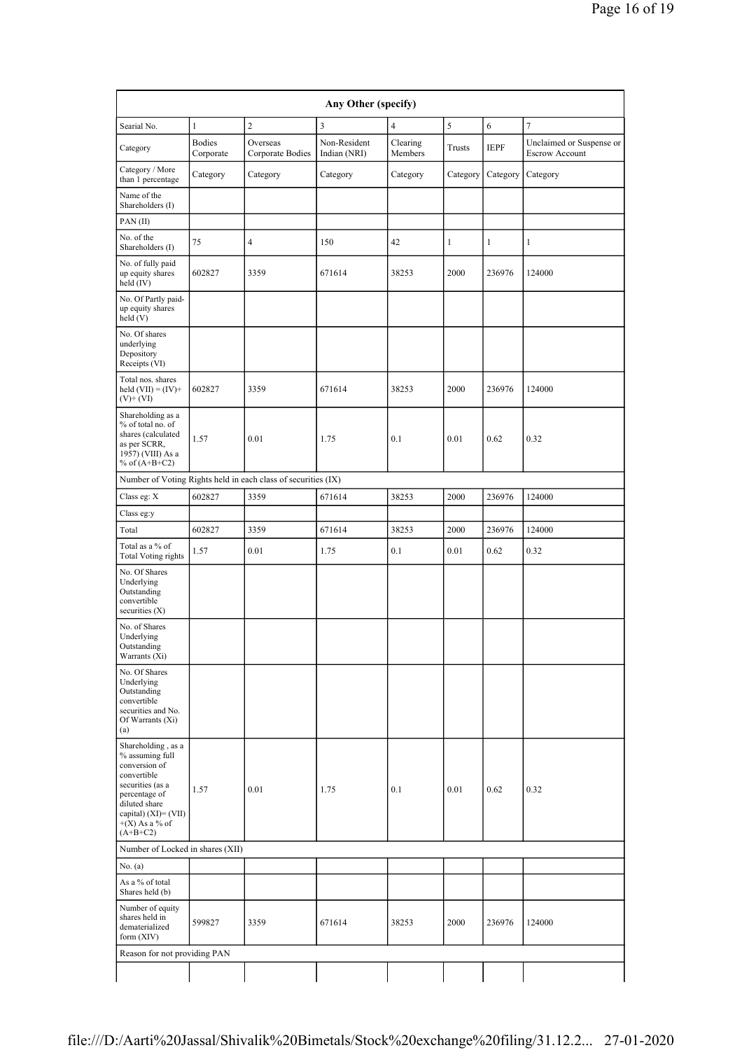| Any Other (specify)                                                                                                                                                                   |                            |                                                               |                              |                     |          |              |                                                   |
|---------------------------------------------------------------------------------------------------------------------------------------------------------------------------------------|----------------------------|---------------------------------------------------------------|------------------------------|---------------------|----------|--------------|---------------------------------------------------|
| Searial No.                                                                                                                                                                           | $\mathbf{1}$               | $\overline{2}$                                                | 3                            | $\overline{4}$      | 5        | 6            | $\overline{7}$                                    |
| Category                                                                                                                                                                              | <b>Bodies</b><br>Corporate | Overseas<br>Corporate Bodies                                  | Non-Resident<br>Indian (NRI) | Clearing<br>Members | Trusts   | <b>IEPF</b>  | Unclaimed or Suspense or<br><b>Escrow Account</b> |
| Category / More<br>than 1 percentage                                                                                                                                                  | Category                   | Category                                                      | Category                     | Category            | Category | Category     | Category                                          |
| Name of the<br>Shareholders (I)                                                                                                                                                       |                            |                                                               |                              |                     |          |              |                                                   |
| PAN(II)                                                                                                                                                                               |                            |                                                               |                              |                     |          |              |                                                   |
| No. of the<br>Shareholders (I)                                                                                                                                                        | 75                         | $\overline{4}$                                                | 150                          | 42                  | 1        | $\mathbf{1}$ | 1                                                 |
| No. of fully paid<br>up equity shares<br>held (IV)                                                                                                                                    | 602827                     | 3359                                                          | 671614                       | 38253               | 2000     | 236976       | 124000                                            |
| No. Of Partly paid-<br>up equity shares<br>held(V)                                                                                                                                    |                            |                                                               |                              |                     |          |              |                                                   |
| No. Of shares<br>underlying<br>Depository<br>Receipts (VI)                                                                                                                            |                            |                                                               |                              |                     |          |              |                                                   |
| Total nos. shares<br>held $(VII) = (IV) +$<br>$(V)$ + $(VI)$                                                                                                                          | 602827                     | 3359                                                          | 671614                       | 38253               | 2000     | 236976       | 124000                                            |
| Shareholding as a<br>% of total no. of<br>shares (calculated<br>as per SCRR,<br>1957) (VIII) As a<br>% of $(A+B+C2)$                                                                  | 1.57                       | 0.01                                                          | 1.75                         | 0.1                 | 0.01     | 0.62         | 0.32                                              |
|                                                                                                                                                                                       |                            | Number of Voting Rights held in each class of securities (IX) |                              |                     |          |              |                                                   |
| Class eg: X                                                                                                                                                                           | 602827                     | 3359                                                          | 671614                       | 38253               | 2000     | 236976       | 124000                                            |
| Class eg:y                                                                                                                                                                            |                            |                                                               |                              |                     |          |              |                                                   |
| Total                                                                                                                                                                                 | 602827                     | 3359                                                          | 671614                       | 38253               | 2000     | 236976       | 124000                                            |
| Total as a % of<br><b>Total Voting rights</b>                                                                                                                                         | 1.57                       | 0.01                                                          | 1.75                         | 0.1                 | 0.01     | 0.62         | 0.32                                              |
| No. Of Shares<br>Underlying<br>Outstanding<br>convertible<br>securities (X)                                                                                                           |                            |                                                               |                              |                     |          |              |                                                   |
| No. of Shares<br>Underlying<br>Outstanding<br>Warrants (Xi)                                                                                                                           |                            |                                                               |                              |                     |          |              |                                                   |
| No. Of Shares<br>Underlying<br>Outstanding<br>convertible<br>securities and No.<br>Of Warrants (Xi)<br>(a)                                                                            |                            |                                                               |                              |                     |          |              |                                                   |
| Shareholding, as a<br>% assuming full<br>conversion of<br>convertible<br>securities (as a<br>percentage of<br>diluted share<br>capital) (XI)= (VII)<br>$+(X)$ As a % of<br>$(A+B+C2)$ | 1.57                       | 0.01                                                          | 1.75                         | 0.1                 | 0.01     | 0.62         | 0.32                                              |
| Number of Locked in shares (XII)                                                                                                                                                      |                            |                                                               |                              |                     |          |              |                                                   |
| No. (a)                                                                                                                                                                               |                            |                                                               |                              |                     |          |              |                                                   |
| As a % of total<br>Shares held (b)                                                                                                                                                    |                            |                                                               |                              |                     |          |              |                                                   |
| Number of equity<br>shares held in<br>dematerialized<br>form (XIV)                                                                                                                    | 599827                     | 3359                                                          | 671614                       | 38253               | 2000     | 236976       | 124000                                            |
| Reason for not providing PAN                                                                                                                                                          |                            |                                                               |                              |                     |          |              |                                                   |
|                                                                                                                                                                                       |                            |                                                               |                              |                     |          |              |                                                   |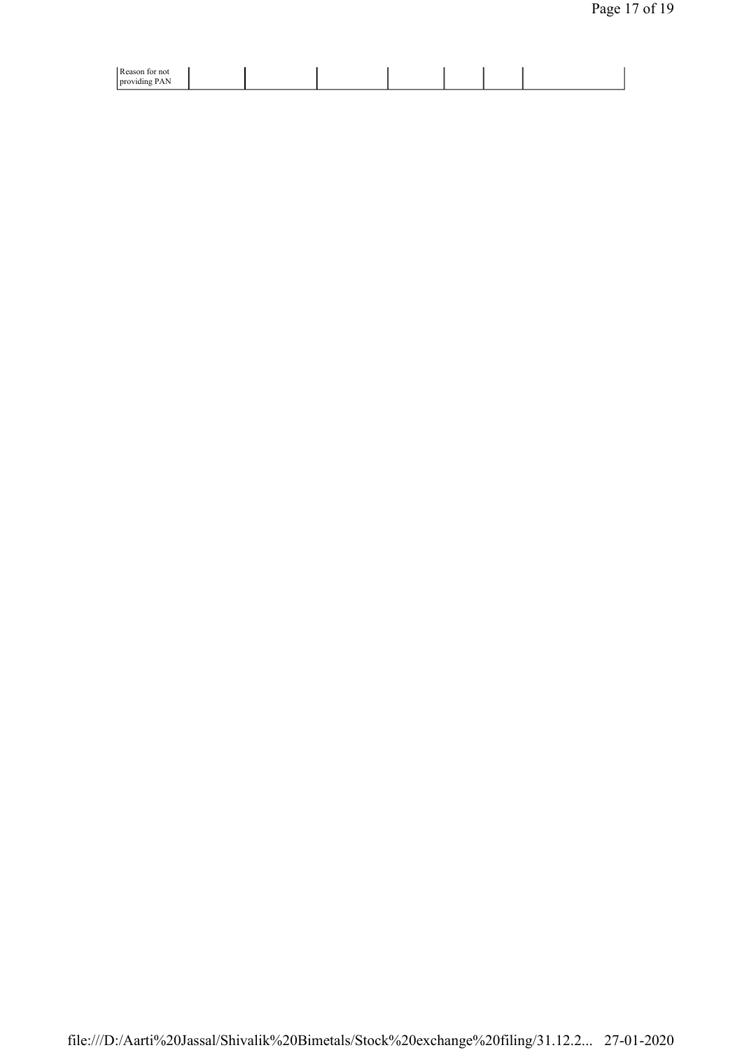| . .<br>N<br>$\mathbf{v}$ | Rea<br>or not |  |  |  |  |  |  |  |
|--------------------------|---------------|--|--|--|--|--|--|--|
|--------------------------|---------------|--|--|--|--|--|--|--|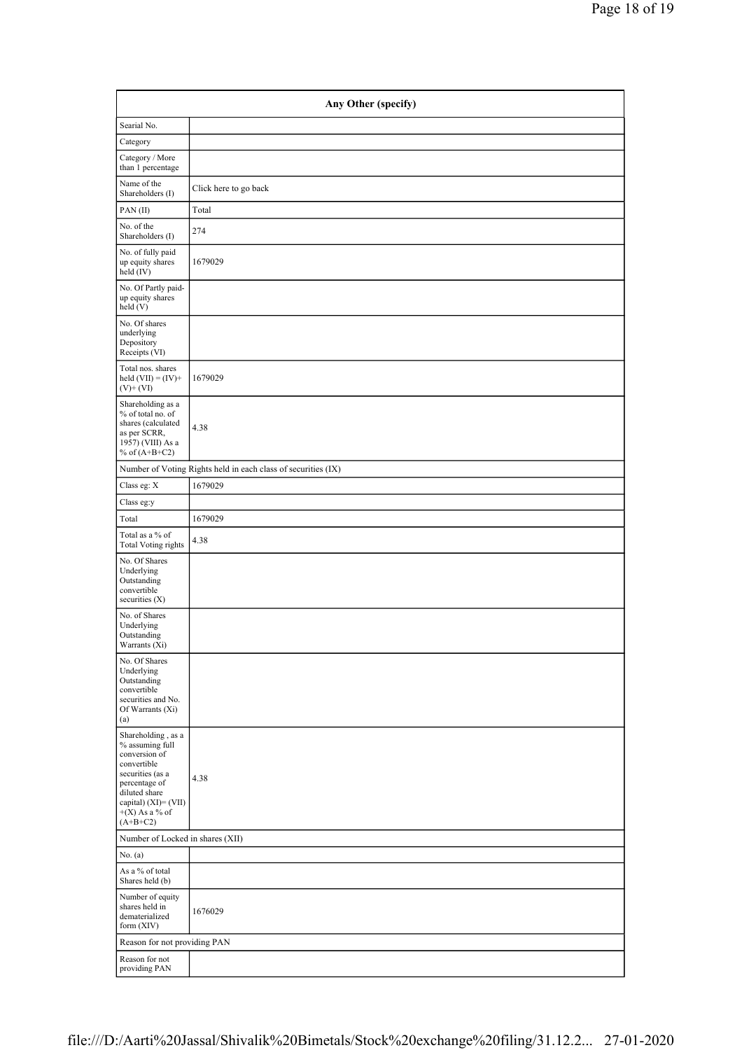| Any Other (specify)                                                                                                                                                                      |                                                               |  |  |  |  |
|------------------------------------------------------------------------------------------------------------------------------------------------------------------------------------------|---------------------------------------------------------------|--|--|--|--|
| Searial No.                                                                                                                                                                              |                                                               |  |  |  |  |
| Category                                                                                                                                                                                 |                                                               |  |  |  |  |
| Category / More<br>than 1 percentage                                                                                                                                                     |                                                               |  |  |  |  |
| Name of the<br>Shareholders (I)                                                                                                                                                          | Click here to go back                                         |  |  |  |  |
| PAN(II)                                                                                                                                                                                  | Total                                                         |  |  |  |  |
| No. of the<br>Shareholders (I)                                                                                                                                                           | 274                                                           |  |  |  |  |
| No. of fully paid<br>up equity shares<br>held (IV)                                                                                                                                       | 1679029                                                       |  |  |  |  |
| No. Of Partly paid-<br>up equity shares<br>held(V)                                                                                                                                       |                                                               |  |  |  |  |
| No. Of shares<br>underlying<br>Depository<br>Receipts (VI)                                                                                                                               |                                                               |  |  |  |  |
| Total nos. shares<br>held $(VII) = (IV) +$<br>$(V)$ + $(VI)$                                                                                                                             | 1679029                                                       |  |  |  |  |
| Shareholding as a<br>% of total no. of<br>shares (calculated<br>as per SCRR,<br>1957) (VIII) As a<br>% of $(A+B+C2)$                                                                     | 4.38                                                          |  |  |  |  |
|                                                                                                                                                                                          | Number of Voting Rights held in each class of securities (IX) |  |  |  |  |
| Class eg: X                                                                                                                                                                              | 1679029                                                       |  |  |  |  |
| Class eg:y                                                                                                                                                                               |                                                               |  |  |  |  |
| Total                                                                                                                                                                                    | 1679029                                                       |  |  |  |  |
| Total as a % of<br><b>Total Voting rights</b>                                                                                                                                            | 4.38                                                          |  |  |  |  |
| No. Of Shares<br>Underlying<br>Outstanding<br>convertible<br>securities $(X)$                                                                                                            |                                                               |  |  |  |  |
| No. of Shares<br>Underlying<br>Outstanding<br>Warrants (Xi)                                                                                                                              |                                                               |  |  |  |  |
| No. Of Shares<br>Underlying<br>Outstanding<br>convertible<br>securities and No.<br>Of Warrants (Xi)<br>(a)                                                                               |                                                               |  |  |  |  |
| Shareholding, as a<br>% assuming full<br>conversion of<br>convertible<br>securities (as a<br>percentage of<br>diluted share<br>capital) $(XI) = (VII)$<br>$+(X)$ As a % of<br>$(A+B+C2)$ | 4.38                                                          |  |  |  |  |
| Number of Locked in shares (XII)                                                                                                                                                         |                                                               |  |  |  |  |
| No. $(a)$                                                                                                                                                                                |                                                               |  |  |  |  |
| As a % of total<br>Shares held (b)                                                                                                                                                       |                                                               |  |  |  |  |
| Number of equity<br>shares held in<br>dematerialized<br>form $(XIV)$                                                                                                                     | 1676029                                                       |  |  |  |  |
| Reason for not providing PAN                                                                                                                                                             |                                                               |  |  |  |  |
| Reason for not<br>providing PAN                                                                                                                                                          |                                                               |  |  |  |  |